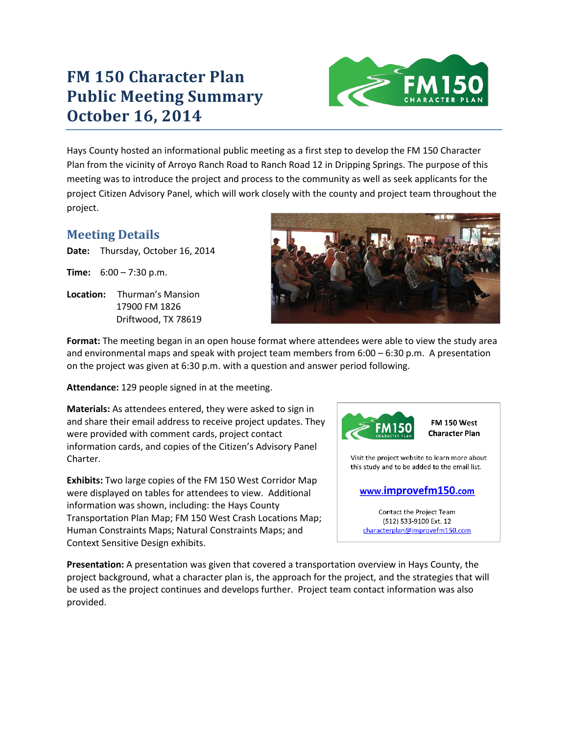# **FM 150 Character Plan Public Meeting Summary October 16, 2014**



Hays County hosted an informational public meeting as a first step to develop the FM 150 Character Plan from the vicinity of Arroyo Ranch Road to Ranch Road 12 in Dripping Springs. The purpose of this meeting was to introduce the project and process to the community as well as seek applicants for the project Citizen Advisory Panel, which will work closely with the county and project team throughout the project.

### **Meeting Details**

**Date:** Thursday, October 16, 2014

**Time:** 6:00 – 7:30 p.m.

**Location:** Thurman's Mansion 17900 FM 1826 Driftwood, TX 78619



**Format:** The meeting began in an open house format where attendees were able to view the study area and environmental maps and speak with project team members from 6:00 – 6:30 p.m. A presentation on the project was given at 6:30 p.m. with a question and answer period following.

**Attendance:** 129 people signed in at the meeting.

**Materials:** As attendees entered, they were asked to sign in and share their email address to receive project updates. They were provided with comment cards, project contact information cards, and copies of the Citizen's Advisory Panel Charter.

**Exhibits:** Two large copies of the FM 150 West Corridor Map were displayed on tables for attendees to view. Additional information was shown, including: the Hays County Transportation Plan Map; FM 150 West Crash Locations Map; Human Constraints Maps; Natural Constraints Maps; and Context Sensitive Design exhibits.



#### www.improvefm150.com

Contact the Project Team (512) 533-9100 Ext. 12 characterplan@improvefm150.com

**Presentation:** A presentation was given that covered a transportation overview in Hays County, the project background, what a character plan is, the approach for the project, and the strategies that will be used as the project continues and develops further. Project team contact information was also provided.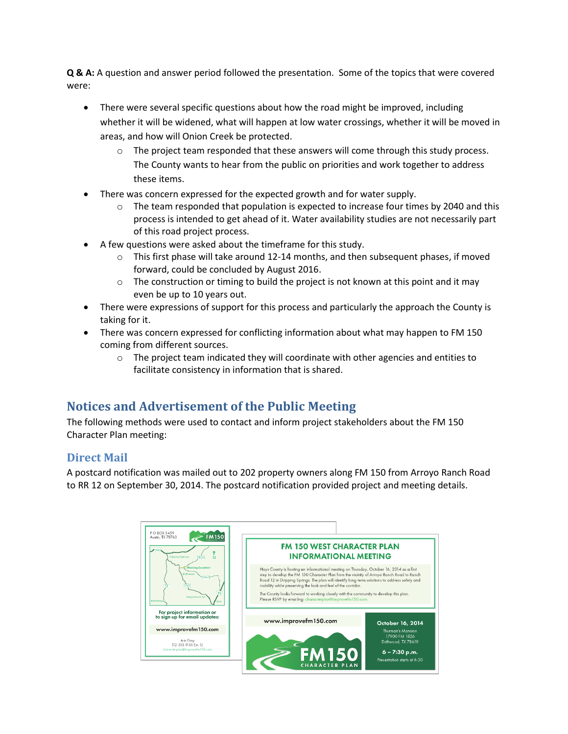**Q & A:** A question and answer period followed the presentation. Some of the topics that were covered were:

- There were several specific questions about how the road might be improved, including whether it will be widened, what will happen at low water crossings, whether it will be moved in areas, and how will Onion Creek be protected.
	- $\circ$  The project team responded that these answers will come through this study process. The County wants to hear from the public on priorities and work together to address these items.
- There was concern expressed for the expected growth and for water supply.
	- $\circ$  The team responded that population is expected to increase four times by 2040 and this process is intended to get ahead of it. Water availability studies are not necessarily part of this road project process.
- A few questions were asked about the timeframe for this study.
	- $\circ$  This first phase will take around 12-14 months, and then subsequent phases, if moved forward, could be concluded by August 2016.
	- $\circ$  The construction or timing to build the project is not known at this point and it may even be up to 10 years out.
- There were expressions of support for this process and particularly the approach the County is taking for it.
- There was concern expressed for conflicting information about what may happen to FM 150 coming from different sources.
	- $\circ$  The project team indicated they will coordinate with other agencies and entities to facilitate consistency in information that is shared.

## **Notices and Advertisement of the Public Meeting**

The following methods were used to contact and inform project stakeholders about the FM 150 Character Plan meeting:

#### **Direct Mail**

A postcard notification was mailed out to 202 property owners along FM 150 from Arroyo Ranch Road to RR 12 on September 30, 2014. The postcard notification provided project and meeting details.